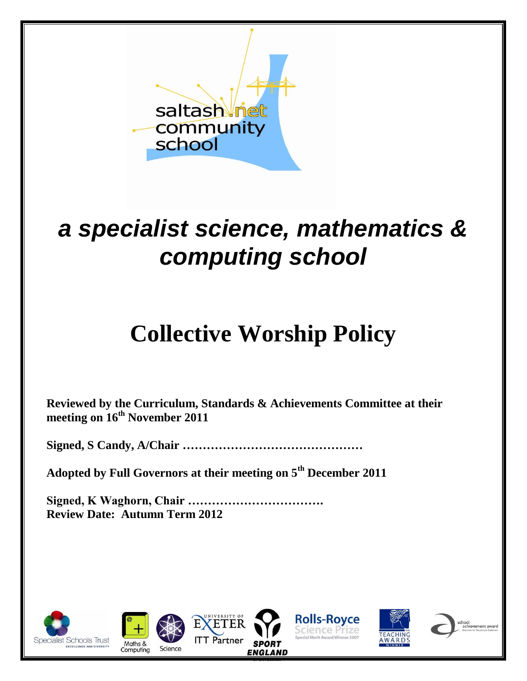

## *a specialist science, mathematics & computing school*

# **Collective Worship Policy**

**Reviewed by the Curriculum, Standards & Achievements Committee at their meeting on 16th November 2011**

**Signed, S Candy, A/Chair ………………………………………**

**Adopted by Full Governors at their meeting on 5th December 2011**

**Signed, K Waghorn, Chair ……………………………. Review Date: Autumn Term 2012**